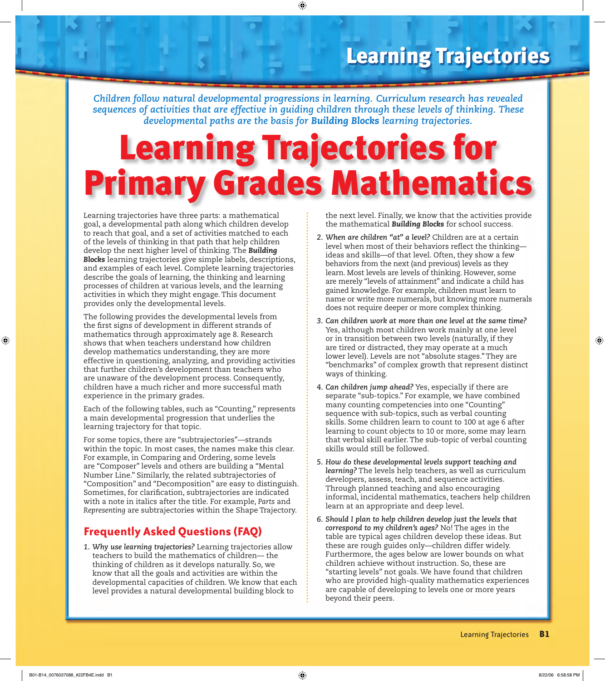*Children follow natural developmental progressions in learning. Curriculum research has revealed sequences of activities that are effective in guiding children through these levels of thinking. These developmental paths are the basis for Building Blocks learning trajectories.*

 $\bigoplus$ 

# Learning Trajectories for Primary Grades Mathematics

Learning trajectories have three parts: a mathematical goal, a developmental path along which children develop to reach that goal, and a set of activities matched to each of the levels of thinking in that path that help children develop the next higher level of thinking. The *Building Blocks* learning trajectories give simple labels, descriptions, and examples of each level. Complete learning trajectories describe the goals of learning, the thinking and learning processes of children at various levels, and the learning activities in which they might engage. This document provides only the developmental levels.

The following provides the developmental levels from the first signs of development in different strands of mathematics through approximately age 8. Research shows that when teachers understand how children develop mathematics understanding, they are more effective in questioning, analyzing, and providing activities that further children's development than teachers who are unaware of the development process. Consequently, children have a much richer and more successful math experience in the primary grades.

Each of the following tables, such as "Counting," represents a main developmental progression that underlies the learning trajectory for that topic.

For some topics, there are "subtrajectories"—strands within the topic. In most cases, the names make this clear. For example, in Comparing and Ordering, some levels are "Composer" levels and others are building a "Mental Number Line." Similarly, the related subtrajectories of "Composition" and "Decomposition" are easy to distinguish. Sometimes, for clarification, subtrajectories are indicated with a note in italics after the title. For example, *Parts* and *Representing* are subtrajectories within the Shape Trajectory.

#### **Frequently Asked Questions (FAQ)**

*1. Why use learning trajectories?* Learning trajectories allow teachers to build the mathematics of children— the thinking of children as it develops naturally. So, we know that all the goals and activities are within the developmental capacities of children. We know that each level provides a natural developmental building block to

the next level. Finally, we know that the activities provide the mathematical *Building Blocks* for school success.

- *2. When are children "at" a level?* Children are at a certain level when most of their behaviors reflect the thinkingideas and skills—of that level. Often, they show a few behaviors from the next (and previous) levels as they learn. Most levels are levels of thinking. However, some are merely "levels of attainment" and indicate a child has gained knowledge. For example, children must learn to name or write more numerals, but knowing more numerals does not require deeper or more complex thinking.
- *3. Can children work at more than one level at the same time?* Yes, although most children work mainly at one level or in transition between two levels (naturally, if they are tired or distracted, they may operate at a much lower level). Levels are not "absolute stages." They are "benchmarks" of complex growth that represent distinct ways of thinking.
- *4. Can children jump ahead?* Yes, especially if there are separate "sub-topics." For example, we have combined many counting competencies into one "Counting" sequence with sub-topics, such as verbal counting skills. Some children learn to count to 100 at age 6 after learning to count objects to 10 or more, some may learn that verbal skill earlier. The sub-topic of verbal counting skills would still be followed.
- *5. How do these developmental levels support teaching and learning?* The levels help teachers, as well as curriculum developers, assess, teach, and sequence activities. Through planned teaching and also encouraging informal, incidental mathematics, teachers help children learn at an appropriate and deep level.
- *6. Should I plan to help children develop just the levels that correspond to my children's ages?* No! The ages in the table are typical ages children develop these ideas. But these are rough guides only—children differ widely. Furthermore, the ages below are lower bounds on what children achieve without instruction. So, these are "starting levels" not goals. We have found that children who are provided high-quality mathematics experiences are capable of developing to levels one or more years beyond their peers.

 $\bigoplus$ 

 $\bigoplus$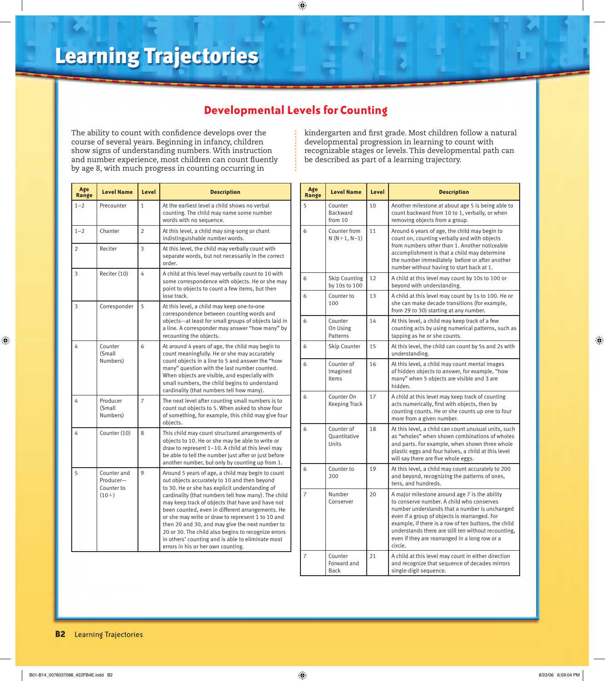### **Developmental Levels for Counting**

 $\ddot{\cdot}$ 

 $\bigoplus$ 

The ability to count with confidence develops over the course of several years. Beginning in infancy, children show signs of understanding numbers. With instruction and number experience, most children can count fluently by age 8, with much progress in counting occurring in

kindergarten and first grade. Most children follow a natural developmental progression in learning to count with recognizable stages or levels. This developmental path can be described as part of a learning trajectory.

| Age<br>Range   | <b>Level Name</b>                                 | Level          | <b>Description</b>                                                                                                                                                                                                                                                                                                                                                                                                                                                                                                                                                           |
|----------------|---------------------------------------------------|----------------|------------------------------------------------------------------------------------------------------------------------------------------------------------------------------------------------------------------------------------------------------------------------------------------------------------------------------------------------------------------------------------------------------------------------------------------------------------------------------------------------------------------------------------------------------------------------------|
| $1 - 2$        | Precounter                                        | $\mathbf{1}$   | At the earliest level a child shows no verbal<br>counting. The child may name some number<br>words with no sequence.                                                                                                                                                                                                                                                                                                                                                                                                                                                         |
| $1 - 2$        | Chanter                                           | $\overline{2}$ | At this level, a child may sing-song or chant<br>indistinguishable number words.                                                                                                                                                                                                                                                                                                                                                                                                                                                                                             |
| $\overline{2}$ | Reciter                                           | 3              | At this level, the child may verbally count with<br>separate words, but not necessarily in the correct<br>order.                                                                                                                                                                                                                                                                                                                                                                                                                                                             |
| 3              | Reciter (10)                                      | 4              | A child at this level may verbally count to 10 with<br>some correspondence with objects. He or she may<br>point to objects to count a few items, but then<br>lose track.                                                                                                                                                                                                                                                                                                                                                                                                     |
| 3              | Corresponder                                      | 5              | At this level, a child may keep one-to-one<br>correspondence between counting words and<br>objects-at least for small groups of objects laid in<br>a line. A corresponder may answer "how many" by<br>recounting the objects.                                                                                                                                                                                                                                                                                                                                                |
| 4              | Counter<br>(Small<br>Numbers)                     | 6              | At around 4 years of age, the child may begin to<br>count meaningfully. He or she may accurately<br>count objects in a line to 5 and answer the "how<br>many" question with the last number counted.<br>When objects are visible, and especially with<br>small numbers, the child begins to understand<br>cardinality (that numbers tell how many).                                                                                                                                                                                                                          |
| 4              | Producer<br>(Small<br>Numbers)                    | $\overline{7}$ | The next level after counting small numbers is to<br>count out objects to 5. When asked to show four<br>of something, for example, this child may give four<br>objects.                                                                                                                                                                                                                                                                                                                                                                                                      |
| 4              | Counter (10)                                      | 8              | This child may count structured arrangements of<br>objects to 10. He or she may be able to write or<br>draw to represent $1-10$ . A child at this level may<br>be able to tell the number just after or just before<br>another number, but only by counting up from 1.                                                                                                                                                                                                                                                                                                       |
| 5              | Counter and<br>Producer-<br>Counter to<br>$(10+)$ | 9              | Around 5 years of age, a child may begin to count<br>out objects accurately to 10 and then beyond<br>to 30. He or she has explicit understanding of<br>cardinality (that numbers tell how many). The child<br>may keep track of objects that have and have not<br>been counted, even in different arrangements. He<br>or she may write or draw to represent 1 to 10 and<br>then 20 and 30, and may give the next number to<br>20 or 30. The child also begins to recognize errors<br>in others' counting and is able to eliminate most<br>errors in his or her own counting. |

| Age<br>Range | <b>Level Name</b>                     | Level | <b>Description</b>                                                                                                                                                                                                                                                                                                                                                       |
|--------------|---------------------------------------|-------|--------------------------------------------------------------------------------------------------------------------------------------------------------------------------------------------------------------------------------------------------------------------------------------------------------------------------------------------------------------------------|
| 5            | Counter<br><b>Backward</b><br>from 10 | 10    | Another milestone at about age 5 is being able to<br>count backward from 10 to 1, verbally, or when<br>removing objects from a group.                                                                                                                                                                                                                                    |
| 6            | Counter from<br>$N(N+1, N-1)$         | 11    | Around 6 years of age, the child may begin to<br>count on, counting verbally and with objects<br>from numbers other than 1. Another noticeable<br>accomplishment is that a child may determine<br>the number immediately before or after another<br>number without having to start back at 1.                                                                            |
| 6            | <b>Skip Counting</b><br>by 10s to 100 | 12    | A child at this level may count by 10s to 100 or<br>beyond with understanding.                                                                                                                                                                                                                                                                                           |
| 6            | Counter to<br>100                     | 13    | A child at this level may count by 1s to 100. He or<br>she can make decade transitions (for example,<br>from 29 to 30) starting at any number.                                                                                                                                                                                                                           |
| 6            | Counter<br>On Using<br>Patterns       | 14    | At this level, a child may keep track of a few<br>counting acts by using numerical patterns, such as<br>tapping as he or she counts.                                                                                                                                                                                                                                     |
| 6            | Skip Counter                          | 15    | At this level, the child can count by 5s and 2s with<br>understanding.                                                                                                                                                                                                                                                                                                   |
| 6            | Counter of<br>Imagined<br>Items       | 16    | At this level, a child may count mental images<br>of hidden objects to answer, for example, "how<br>many" when 5 objects are visible and 3 are<br>hidden.                                                                                                                                                                                                                |
| 6            | Counter On<br><b>Keeping Track</b>    | 17    | A child at this level may keep track of counting<br>acts numerically, first with objects, then by<br>counting counts. He or she counts up one to four<br>more from a given number.                                                                                                                                                                                       |
| 6            | Counter of<br>Quantitative<br>Units   | 18    | At this level, a child can count unusual units, such<br>as "wholes" when shown combinations of wholes<br>and parts. For example, when shown three whole<br>plastic eggs and four halves, a child at this level<br>will say there are five whole eggs.                                                                                                                    |
| 6            | Counter to<br>200                     | 19    | At this level, a child may count accurately to 200<br>and beyond, recognizing the patterns of ones,<br>tens, and hundreds.                                                                                                                                                                                                                                               |
| 7            | Number<br>Conserver                   | 20    | A major milestone around age 7 is the ability<br>to conserve number. A child who conserves<br>number understands that a number is unchanged<br>even if a group of objects is rearranged. For<br>example, if there is a row of ten buttons, the child<br>understands there are still ten without recounting,<br>even if they are rearranged in a long row or a<br>circle. |
| 7            | Counter<br>Forward and<br>Back        | 21    | A child at this level may count in either direction<br>and recognize that sequence of decades mirrors<br>single-digit sequence.                                                                                                                                                                                                                                          |

#### **B2** Learning Trajectories

 $\bigoplus$ 

 $\bigoplus$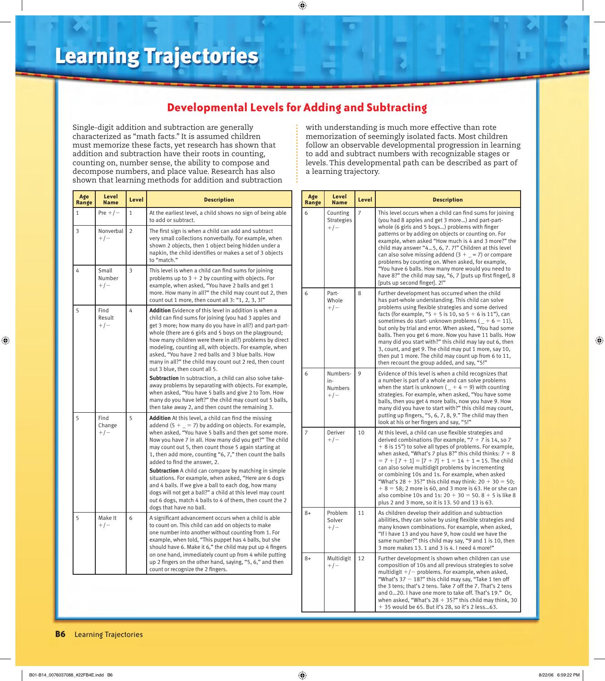### **Developmental Levels for Adding and Subtracting**

 $\bigoplus$ 

Single-digit addition and subtraction are generally characterized as "math facts." It is assumed children must memorize these facts, yet research has shown that addition and subtraction have their roots in counting, counting on, number sense, the ability to compose and decompose numbers, and place value. Research has also shown that learning methods for addition and subtraction with understanding is much more effective than rote memorization of seemingly isolated facts. Most children follow an observable developmental progression in learning to add and subtract numbers with recognizable stages or levels. This developmental path can be described as part of a learning trajectory.

| Age<br>Range | Level<br><b>Name</b>     | Level          | <b>Description</b>                                                                                                                                                                                                                                                                                                                                                                                                                                                                                                                                                               |  |
|--------------|--------------------------|----------------|----------------------------------------------------------------------------------------------------------------------------------------------------------------------------------------------------------------------------------------------------------------------------------------------------------------------------------------------------------------------------------------------------------------------------------------------------------------------------------------------------------------------------------------------------------------------------------|--|
| 1            | Pre $+/-$                | $\mathbf{1}$   | At the earliest level, a child shows no sign of being able<br>to add or subtract.                                                                                                                                                                                                                                                                                                                                                                                                                                                                                                |  |
| 3            | Nonverbal<br>$+/-$       | $\overline{2}$ | The first sign is when a child can add and subtract<br>very small collections nonverbally. For example, when<br>shown 2 objects, then 1 object being hidden under a<br>napkin, the child identifies or makes a set of 3 objects<br>to "match."                                                                                                                                                                                                                                                                                                                                   |  |
| 4            | Small<br>Number<br>$+/-$ | 3              | This level is when a child can find sums for joining<br>problems up to $3 + 2$ by counting with objects. For<br>example, when asked, "You have 2 balls and get 1<br>more. How many in all?" the child may count out 2, then<br>count out 1 more, then count all 3: "1, 2, 3, 3!"                                                                                                                                                                                                                                                                                                 |  |
| 5            | Find<br>Result<br>$+/-$  | 4              | <b>Addition</b> Evidence of this level in addition is when a<br>child can find sums for joining (you had 3 apples and<br>get 3 more; how many do you have in all?) and part-part-<br>whole (there are 6 girls and 5 boys on the playground;<br>how many children were there in all?) problems by direct<br>modeling, counting all, with objects. For example, when<br>asked, "You have 2 red balls and 3 blue balls. How<br>many in all?" the child may count out 2 red, then count<br>out 3 blue, then count all 5.<br>Subtraction In subtraction, a child can also solve take- |  |
|              |                          |                | away problems by separating with objects. For example,<br>when asked, "You have 5 balls and give 2 to Tom. How<br>many do you have left?" the child may count out 5 balls,<br>then take away 2, and then count the remaining 3.                                                                                                                                                                                                                                                                                                                                                  |  |
| 5            | Find<br>Change<br>$+/-$  | 5              | <b>Addition</b> At this level, a child can find the missing<br>addend (5 + $=$ = 7) by adding on objects. For example,<br>when asked, "You have 5 balls and then get some more.<br>Now you have 7 in all. How many did you get?" The child<br>may count out 5, then count those 5 again starting at<br>1, then add more, counting "6, 7," then count the balls<br>added to find the answer, 2.                                                                                                                                                                                   |  |
|              |                          |                | <b>Subtraction</b> A child can compare by matching in simple<br>situations. For example, when asked, "Here are 6 dogs<br>and 4 balls. If we give a ball to each dog, how many<br>dogs will not get a ball?" a child at this level may count<br>out 6 dogs, match 4 balls to 4 of them, then count the 2<br>dogs that have no ball.                                                                                                                                                                                                                                               |  |
| 5            | Make It<br>$+/-$         | 6              | A significant advancement occurs when a child is able<br>to count on. This child can add on objects to make<br>one number into another without counting from 1. For<br>example, when told, "This puppet has 4 balls, but she<br>should have 6. Make it 6," the child may put up 4 fingers<br>on one hand, immediately count up from 4 while putting<br>up 2 fingers on the other hand, saying, "5, 6," and then<br>count or recognize the 2 fingers.                                                                                                                             |  |

| Age<br>Range | Level<br><b>Name</b>                       | Level | <b>Description</b>                                                                                                                                                                                                                                                                                                                                                                                                                                                                                                                                                                                                                                            |
|--------------|--------------------------------------------|-------|---------------------------------------------------------------------------------------------------------------------------------------------------------------------------------------------------------------------------------------------------------------------------------------------------------------------------------------------------------------------------------------------------------------------------------------------------------------------------------------------------------------------------------------------------------------------------------------------------------------------------------------------------------------|
| 6            | Counting<br><b>Strategies</b><br>$+/-$     | 7     | This level occurs when a child can find sums for joining<br>(you had 8 apples and get 3 more) and part-part-<br>whole (6 girls and 5 boys) problems with finger<br>patterns or by adding on objects or counting on. For<br>example, when asked "How much is 4 and 3 more?" the<br>child may answer "45, 6, 7.7!" Children at this level<br>can also solve missing addend $(3 + 2)$ or compare<br>problems by counting on. When asked, for example,<br>"You have 6 balls. How many more would you need to<br>have 8?" the child may say, "6, 7 [puts up first finger], 8<br>[puts up second finger]. 2!"                                                       |
| 6            | Part-<br>Whole<br>$+/-$                    | 8     | Further development has occurred when the child<br>has part-whole understanding. This child can solve<br>problems using flexible strategies and some derived<br>facts (for example, "5 + 5 is 10, so 5 + 6 is 11"), can<br>sometimes do start-unknown problems ( $_{-}$ + 6 = 11),<br>but only by trial and error. When asked, "You had some<br>balls. Then you get 6 more. Now you have 11 balls. How<br>many did you start with?" this child may lay out 6, then<br>3, count, and get 9. The child may put 1 more, say 10,<br>then put 1 more. The child may count up from 6 to 11,<br>then recount the group added, and say, "5!"                          |
| 6            | Numbers-<br>in-<br><b>Numbers</b><br>$+/-$ | 9     | Evidence of this level is when a child recognizes that<br>a number is part of a whole and can solve problems<br>when the start is unknown ( $_+$ + 4 = 9) with counting<br>strategies. For example, when asked, "You have some<br>balls, then you get 4 more balls, now you have 9. How<br>many did you have to start with?" this child may count,<br>putting up fingers, "5, 6, 7, 8, 9." The child may then<br>look at his or her fingers and say, "5!"                                                                                                                                                                                                     |
| 7            | Deriver<br>$+/-$                           | 10    | At this level, a child can use flexible strategies and<br>derived combinations (for example, " $7 + 7$ is 14, so 7<br>+ 8 is 15") to solve all types of problems. For example,<br>when asked, "What's 7 plus 8?" this child thinks: $7 + 8$<br>$= 7 + [7 + 1] = [7 + 7] + 1 = 14 + 1 = 15$ . The child<br>can also solve multidigit problems by incrementing<br>or combining 10s and 1s. For example, when asked<br>"What's $28 + 35$ ?" this child may think: $20 + 30 = 50$ ;<br>$+8 = 58$ ; 2 more is 60, and 3 more is 63. He or she can<br>also combine 10s and 1s: $20 + 30 = 50$ . 8 + 5 is like 8<br>plus 2 and 3 more, so it is 13. 50 and 13 is 63. |
| $8+$         | Problem<br>Solver<br>$+/-$                 | 11    | As children develop their addition and subtraction<br>abilities, they can solve by using flexible strategies and<br>many known combinations. For example, when asked,<br>"If I have 13 and you have 9, how could we have the<br>same number?" this child may say, "9 and 1 is 10, then<br>3 more makes 13. 1 and 3 is 4. I need 4 more!"                                                                                                                                                                                                                                                                                                                      |
| $8+$         | Multidigit<br>$+/-$                        | 12    | Further development is shown when children can use<br>composition of 10s and all previous strategies to solve<br>multidigit $+/-$ problems. For example, when asked,<br>"What's $37 - 18$ ?" this child may say, "Take 1 ten off<br>the 3 tens; that's 2 tens. Take 7 off the 7. That's 2 tens<br>and 020. I have one more to take off. That's 19." Or,<br>when asked, "What's $28 + 35$ ?" this child may think, 30<br>+ 35 would be 65. But it's 28, so it's 2 less63.                                                                                                                                                                                      |

#### **B6** Learning Trajectories

 $\bigoplus$ 

 $\bigoplus$